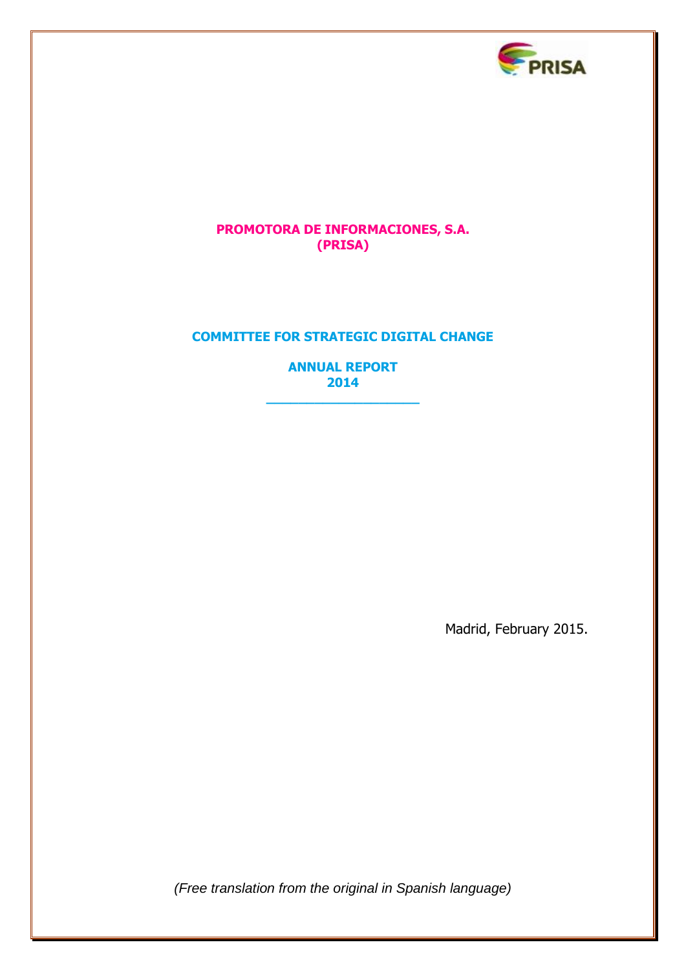

# **PROMOTORA DE INFORMACIONES, S.A. (PRISA)**

# **COMMITTEE FOR STRATEGIC DIGITAL CHANGE**

**ANNUAL REPORT 2014**

**\_\_\_\_\_\_\_\_\_\_\_\_\_\_\_\_\_\_\_**

Madrid, February 2015.

*(Free translation from the original in Spanish language)*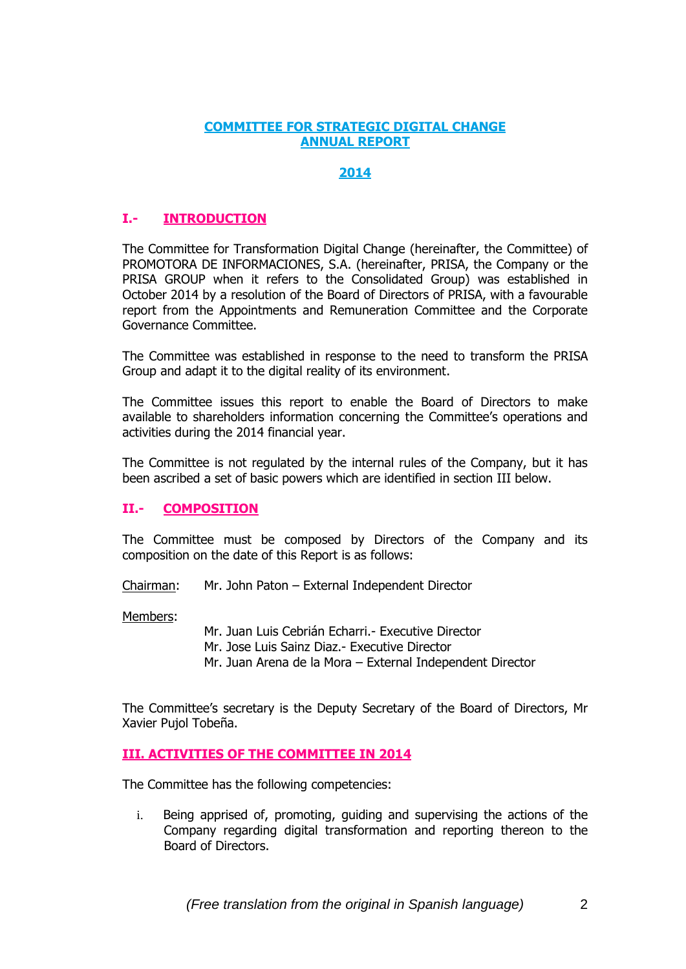#### **COMMITTEE FOR STRATEGIC DIGITAL CHANGE ANNUAL REPORT**

### **2014**

# **I.- INTRODUCTION**

The Committee for Transformation Digital Change (hereinafter, the Committee) of PROMOTORA DE INFORMACIONES, S.A. (hereinafter, PRISA, the Company or the PRISA GROUP when it refers to the Consolidated Group) was established in October 2014 by a resolution of the Board of Directors of PRISA, with a favourable report from the Appointments and Remuneration Committee and the Corporate Governance Committee.

The Committee was established in response to the need to transform the PRISA Group and adapt it to the digital reality of its environment.

The Committee issues this report to enable the Board of Directors to make available to shareholders information concerning the Committee's operations and activities during the 2014 financial year.

The Committee is not regulated by the internal rules of the Company, but it has been ascribed a set of basic powers which are identified in section III below.

### **II.- COMPOSITION**

The Committee must be composed by Directors of the Company and its composition on the date of this Report is as follows:

Chairman: Mr. John Paton – External Independent Director

Members:

Mr. Juan Luis Cebrián Echarri.- Executive Director

Mr. Jose Luis Sainz Diaz.- Executive Director

Mr. Juan Arena de la Mora – External Independent Director

The Committee's secretary is the Deputy Secretary of the Board of Directors, Mr Xavier Pujol Tobeña.

### **III. ACTIVITIES OF THE COMMITTEE IN 2014**

The Committee has the following competencies:

i. Being apprised of, promoting, guiding and supervising the actions of the Company regarding digital transformation and reporting thereon to the Board of Directors.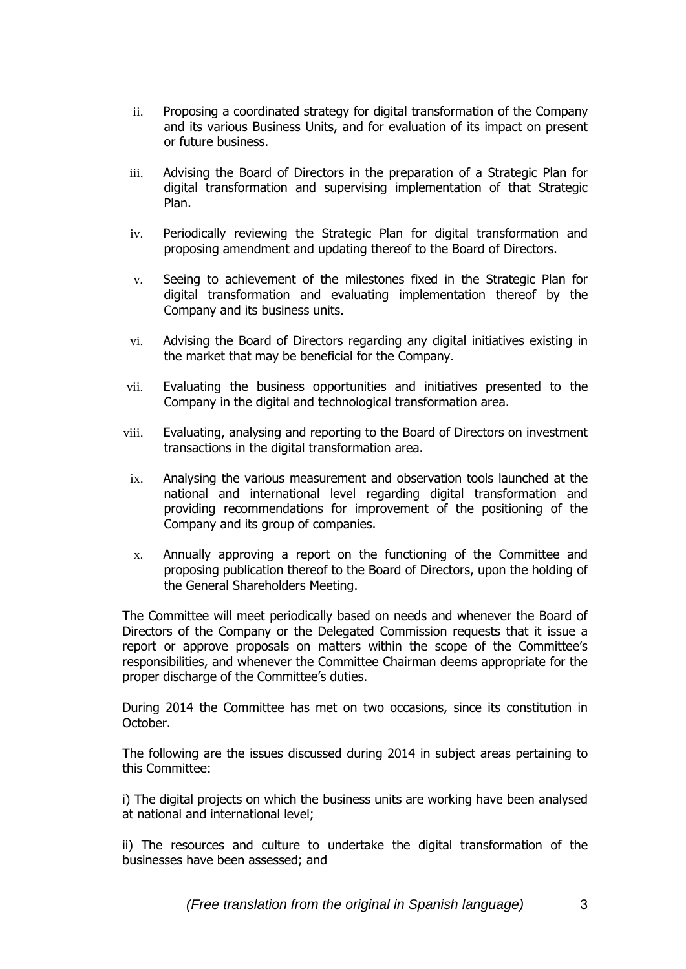- ii. Proposing a coordinated strategy for digital transformation of the Company and its various Business Units, and for evaluation of its impact on present or future business.
- iii. Advising the Board of Directors in the preparation of a Strategic Plan for digital transformation and supervising implementation of that Strategic Plan.
- iv. Periodically reviewing the Strategic Plan for digital transformation and proposing amendment and updating thereof to the Board of Directors.
- v. Seeing to achievement of the milestones fixed in the Strategic Plan for digital transformation and evaluating implementation thereof by the Company and its business units.
- vi. Advising the Board of Directors regarding any digital initiatives existing in the market that may be beneficial for the Company.
- vii. Evaluating the business opportunities and initiatives presented to the Company in the digital and technological transformation area.
- viii. Evaluating, analysing and reporting to the Board of Directors on investment transactions in the digital transformation area.
- ix. Analysing the various measurement and observation tools launched at the national and international level regarding digital transformation and providing recommendations for improvement of the positioning of the Company and its group of companies.
- x. Annually approving a report on the functioning of the Committee and proposing publication thereof to the Board of Directors, upon the holding of the General Shareholders Meeting.

The Committee will meet periodically based on needs and whenever the Board of Directors of the Company or the Delegated Commission requests that it issue a report or approve proposals on matters within the scope of the Committee's responsibilities, and whenever the Committee Chairman deems appropriate for the proper discharge of the Committee's duties.

During 2014 the Committee has met on two occasions, since its constitution in October.

The following are the issues discussed during 2014 in subject areas pertaining to this Committee:

i) The digital projects on which the business units are working have been analysed at national and international level;

ii) The resources and culture to undertake the digital transformation of the businesses have been assessed; and